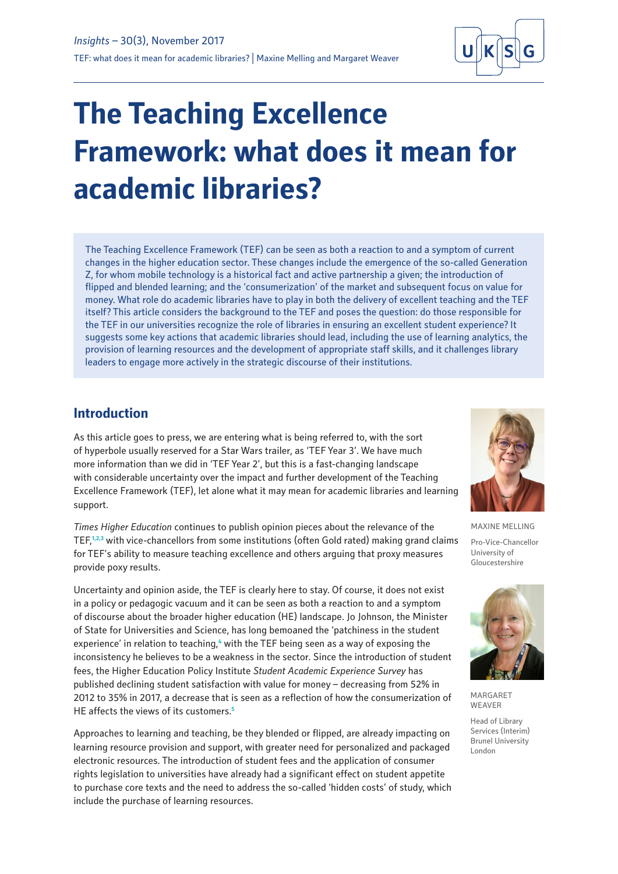

# **The Teaching Excellence Framework: what does it mean for academic libraries?**

The Teaching Excellence Framework (TEF) can be seen as both a reaction to and a symptom of current changes in the higher education sector. These changes include the emergence of the so-called Generation Z, for whom mobile technology is a historical fact and active partnership a given; the introduction of flipped and blended learning; and the 'consumerization' of the market and subsequent focus on value for money. What role do academic libraries have to play in both the delivery of excellent teaching and the TEF itself? This article considers the background to the TEF and poses the question: do those responsible for the TEF in our universities recognize the role of libraries in ensuring an excellent student experience? It suggests some key actions that academic libraries should lead, including the use of learning analytics, the provision of learning resources and the development of appropriate staff skills, and it challenges library leaders to engage more actively in the strategic discourse of their institutions.

#### **Introduction**

As this article goes to press, we are entering what is being referred to, with the sort of hyperbole usually reserved for a Star Wars trailer, as 'TEF Year 3'. We have much more information than we did in 'TEF Year 2', but this is a fast-changing landscape with considerable uncertainty over the impact and further development of the Teaching Excellence Framework (TEF), let alone what it may mean for academic libraries and learning support.

*Times Higher Education* continues to publish opinion pieces about the relevance of the TEF,**1,2,3** with vice-chancellors from some institutions (often Gold rated) making grand claims for TEF's ability to measure teaching excellence and others arguing that proxy measures provide poxy results.

Uncertainty and opinion aside, the TEF is clearly here to stay. Of course, it does not exist in a policy or pedagogic vacuum and it can be seen as both a reaction to and a symptom of discourse about the broader higher education (HE) landscape. Jo Johnson, the Minister of State for Universities and Science, has long bemoaned the 'patchiness in the student experience' in relation to teaching,<sup>4</sup> with the TEF being seen as a way of exposing the inconsistency he believes to be a weakness in the sector. Since the introduction of student fees, the Higher Education Policy Institute *Student Academic Experience Survey* has published declining student satisfaction with value for money – decreasing from 52% in 2012 to 35% in 2017, a decrease that is seen as a reflection of how the consumerization of HE affects the views of its customers.**<sup>5</sup>**

Approaches to learning and teaching, be they blended or flipped, are already impacting on learning resource provision and support, with greater need for personalized and packaged electronic resources. The introduction of student fees and the application of consumer rights legislation to universities have already had a significant effect on student appetite to purchase core texts and the need to address the so-called 'hidden costs' of study, which include the purchase of learning resources.



MAXINE MELLING

Pro-Vice-Chancellor University of Gloucestershire



MARGARET WEAVER

Head of Library Services (Interim) Brunel University London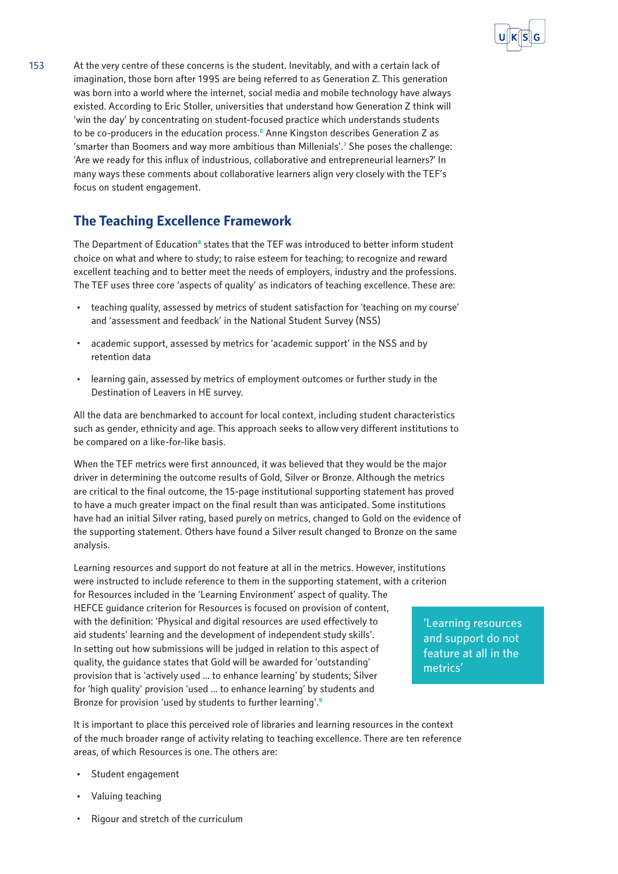

153 At the very centre of these concerns is the student. Inevitably, and with a certain lack of imagination, those born after 1995 are being referred to as Generation Z. This generation was born into a world where the internet, social media and mobile technology have always existed. According to Eric Stoller, universities that understand how Generation Z think will 'win the day' by concentrating on student-focused practice which understands students to be co-producers in the education process.**<sup>6</sup>** Anne Kingston describes Generation Z as 'smarter than Boomers and way more ambitious than Millenials'.**<sup>7</sup>** She poses the challenge: 'Are we ready for this influx of industrious, collaborative and entrepreneurial learners?' In many ways these comments about collaborative learners align very closely with the TEF's focus on student engagement.

## **The Teaching Excellence Framework**

The Department of Education<sup>8</sup> states that the TEF was introduced to better inform student choice on what and where to study; to raise esteem for teaching; to recognize and reward excellent teaching and to better meet the needs of employers, industry and the professions. The TEF uses three core 'aspects of quality' as indicators of teaching excellence. These are:

- · teaching quality, assessed by metrics of student satisfaction for 'teaching on my course' and 'assessment and feedback' in the National Student Survey (NSS)
- academic support, assessed by metrics for 'academic support' in the NSS and by retention data
- · learning gain, assessed by metrics of employment outcomes or further study in the Destination of Leavers in HE survey.

All the data are benchmarked to account for local context, including student characteristics such as gender, ethnicity and age. This approach seeks to allow very different institutions to be compared on a like-for-like basis.

When the TEF metrics were first announced, it was believed that they would be the major driver in determining the outcome results of Gold, Silver or Bronze. Although the metrics are critical to the final outcome, the 15-page institutional supporting statement has proved to have a much greater impact on the final result than was anticipated. Some institutions have had an initial Silver rating, based purely on metrics, changed to Gold on the evidence of the supporting statement. Others have found a Silver result changed to Bronze on the same analysis.

Learning resources and support do not feature at all in the metrics. However, institutions were instructed to include reference to them in the supporting statement, with a criterion for Resources included in the 'Learning Environment' aspect of quality. The HEFCE guidance criterion for Resources is focused on provision of content, with the definition: 'Physical and digital resources are used effectively to aid students' learning and the development of independent study skills'. In setting out how submissions will be judged in relation to this aspect of quality, the guidance states that Gold will be awarded for 'outstanding' provision that is 'actively used ... to enhance learning' by students; Silver for 'high quality' provision 'used ... to enhance learning' by students and Bronze for provision 'used by students to further learning'.**<sup>9</sup>**

'Learning resources and support do not feature at all in the metrics'

It is important to place this perceived role of libraries and learning resources in the context of the much broader range of activity relating to teaching excellence. There are ten reference areas, of which Resources is one. The others are:

- Student engagement
- Valuing teaching
- Rigour and stretch of the curriculum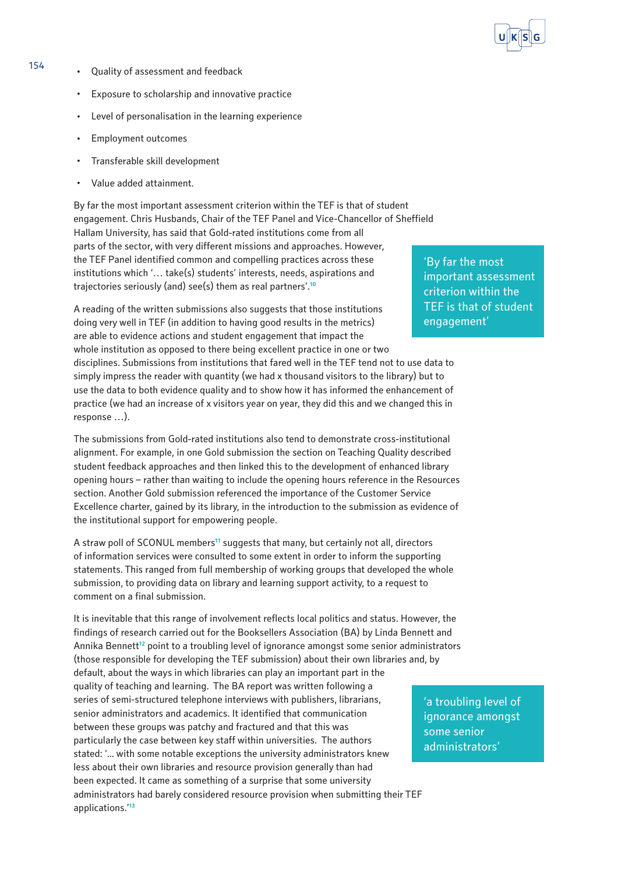

- 154 · Quality of assessment and feedback
	- · Exposure to scholarship and innovative practice
	- Level of personalisation in the learning experience
	- · Employment outcomes
	- · Transferable skill development
	- Value added attainment.

By far the most important assessment criterion within the TEF is that of student engagement. Chris Husbands, Chair of the TEF Panel and Vice-Chancellor of Sheffield Hallam University, has said that Gold-rated institutions come from all parts of the sector, with very different missions and approaches. However, the TEF Panel identified common and compelling practices across these institutions which '… take(s) students' interests, needs, aspirations and trajectories seriously (and) see(s) them as real partners'.**<sup>10</sup>**

A reading of the written submissions also suggests that those institutions doing very well in TEF (in addition to having good results in the metrics) are able to evidence actions and student engagement that impact the whole institution as opposed to there being excellent practice in one or two disciplines. Submissions from institutions that fared well in the TEF tend not to use data to simply impress the reader with quantity (we had x thousand visitors to the library) but to use the data to both evidence quality and to show how it has informed the enhancement of practice (we had an increase of x visitors year on year, they did this and we changed this in response …).

The submissions from Gold-rated institutions also tend to demonstrate cross-institutional alignment. For example, in one Gold submission the section on Teaching Quality described student feedback approaches and then linked this to the development of enhanced library opening hours – rather than waiting to include the opening hours reference in the Resources section. Another Gold submission referenced the importance of the Customer Service Excellence charter, gained by its library, in the introduction to the submission as evidence of the institutional support for empowering people.

A straw poll of SCONUL members**<sup>11</sup>** suggests that many, but certainly not all, directors of information services were consulted to some extent in order to inform the supporting statements. This ranged from full membership of working groups that developed the whole submission, to providing data on library and learning support activity, to a request to comment on a final submission.

It is inevitable that this range of involvement reflects local politics and status. However, the findings of research carried out for the Booksellers Association (BA) by Linda Bennett and Annika Bennett**<sup>12</sup>** point to a troubling level of ignorance amongst some senior administrators (those responsible for developing the TEF submission) about their own libraries and, by default, about the ways in which libraries can play an important part in the quality of teaching and learning. The BA report was written following a series of semi-structured telephone interviews with publishers, librarians, senior administrators and academics. It identified that communication between these groups was patchy and fractured and that this was particularly the case between key staff within universities. The authors stated: '... with some notable exceptions the university administrators knew less about their own libraries and resource provision generally than had been expected. It came as something of a surprise that some university administrators had barely considered resource provision when submitting their TEF applications.'**<sup>13</sup>**

'By far the most important assessment criterion within the TEF is that of student engagement'

'a troubling level of ignorance amongst some senior administrators'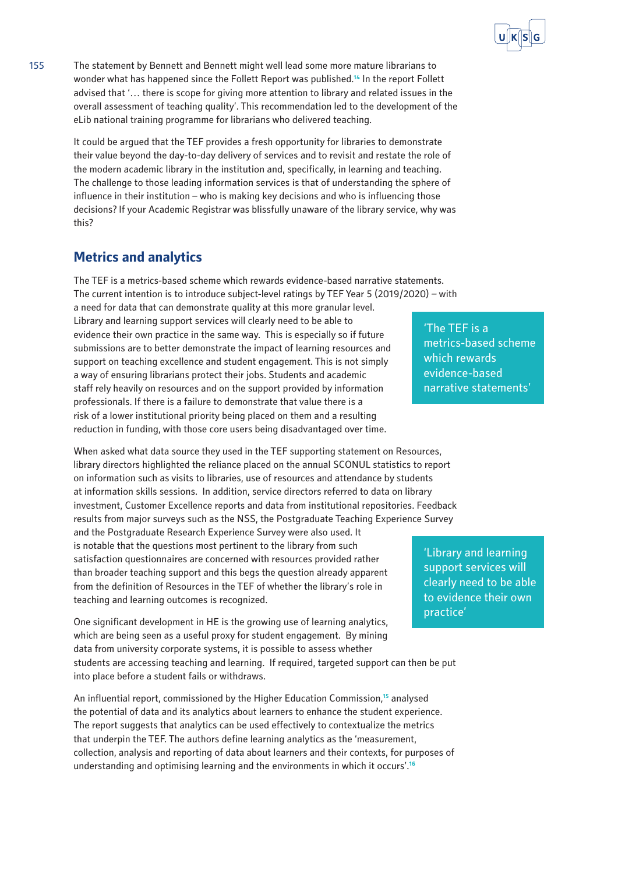

155 The statement by Bennett and Bennett might well lead some more mature librarians to wonder what has happened since the Follett Report was published.**<sup>14</sup>** In the report Follett advised that '… there is scope for giving more attention to library and related issues in the overall assessment of teaching quality'. This recommendation led to the development of the eLib national training programme for librarians who delivered teaching.

> It could be argued that the TEF provides a fresh opportunity for libraries to demonstrate their value beyond the day-to-day delivery of services and to revisit and restate the role of the modern academic library in the institution and, specifically, in learning and teaching. The challenge to those leading information services is that of understanding the sphere of influence in their institution – who is making key decisions and who is influencing those decisions? If your Academic Registrar was blissfully unaware of the library service, why was this?

#### **Metrics and analytics**

The TEF is a metrics-based scheme which rewards evidence-based narrative statements. The current intention is to introduce subject-level ratings by TEF Year 5 (2019/2020) – with

a need for data that can demonstrate quality at this more granular level. Library and learning support services will clearly need to be able to evidence their own practice in the same way. This is especially so if future submissions are to better demonstrate the impact of learning resources and support on teaching excellence and student engagement. This is not simply a way of ensuring librarians protect their jobs. Students and academic staff rely heavily on resources and on the support provided by information professionals. If there is a failure to demonstrate that value there is a risk of a lower institutional priority being placed on them and a resulting reduction in funding, with those core users being disadvantaged over time.

When asked what data source they used in the TEF supporting statement on Resources, library directors highlighted the reliance placed on the annual SCONUL statistics to report on information such as visits to libraries, use of resources and attendance by students at information skills sessions. In addition, service directors referred to data on library investment, Customer Excellence reports and data from institutional repositories. Feedback results from major surveys such as the NSS, the Postgraduate Teaching Experience Survey and the Postgraduate Research Experience Survey were also used. It is notable that the questions most pertinent to the library from such satisfaction questionnaires are concerned with resources provided rather than broader teaching support and this begs the question already apparent from the definition of Resources in the TEF of whether the library's role in teaching and learning outcomes is recognized.

One significant development in HE is the growing use of learning analytics, which are being seen as a useful proxy for student engagement. By mining data from university corporate systems, it is possible to assess whether students are accessing teaching and learning. If required, targeted support can then be put into place before a student fails or withdraws.

An influential report, commissioned by the Higher Education Commission,**<sup>15</sup>** analysed the potential of data and its analytics about learners to enhance the student experience. The report suggests that analytics can be used effectively to contextualize the metrics that underpin the TEF. The authors define learning analytics as the 'measurement, collection, analysis and reporting of data about learners and their contexts, for purposes of understanding and optimising learning and the environments in which it occurs'.**<sup>16</sup>**

'The TEF is a metrics-based scheme which rewards evidence-based narrative statements'

'Library and learning support services will clearly need to be able to evidence their own practice'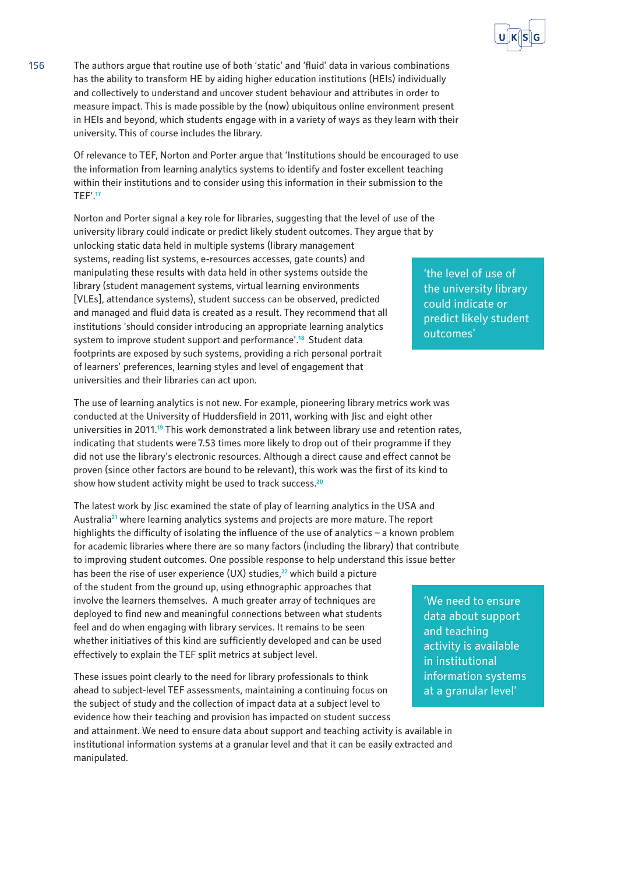

156 The authors argue that routine use of both 'static' and 'fluid' data in various combinations has the ability to transform HE by aiding higher education institutions (HEIs) individually and collectively to understand and uncover student behaviour and attributes in order to measure impact. This is made possible by the (now) ubiquitous online environment present in HEIs and beyond, which students engage with in a variety of ways as they learn with their university. This of course includes the library.

> Of relevance to TEF, Norton and Porter argue that 'Institutions should be encouraged to use the information from learning analytics systems to identify and foster excellent teaching within their institutions and to consider using this information in their submission to the TEF'.**<sup>17</sup>**

Norton and Porter signal a key role for libraries, suggesting that the level of use of the university library could indicate or predict likely student outcomes. They argue that by unlocking static data held in multiple systems (library management systems, reading list systems, e-resources accesses, gate counts) and manipulating these results with data held in other systems outside the library (student management systems, virtual learning environments [VLEs], attendance systems), student success can be observed, predicted and managed and fluid data is created as a result. They recommend that all institutions 'should consider introducing an appropriate learning analytics system to improve student support and performance'.<sup>18</sup> Student data footprints are exposed by such systems, providing a rich personal portrait of learners' preferences, learning styles and level of engagement that universities and their libraries can act upon.

The use of learning analytics is not new. For example, pioneering library metrics work was conducted at the University of Huddersfield in 2011, working with Jisc and eight other universities in 2011.**<sup>19</sup>** This work demonstrated a link between library use and retention rates, indicating that students were 7.53 times more likely to drop out of their programme if they did not use the library's electronic resources. Although a direct cause and effect cannot be proven (since other factors are bound to be relevant), this work was the first of its kind to show how student activity might be used to track success.**<sup>20</sup>**

The latest work by Jisc examined the state of play of learning analytics in the USA and Australia**<sup>21</sup>** where learning analytics systems and projects are more mature. The report highlights the difficulty of isolating the influence of the use of analytics – a known problem for academic libraries where there are so many factors (including the library) that contribute to improving student outcomes. One possible response to help understand this issue better has been the rise of user experience (UX) studies,**<sup>22</sup>** which build a picture of the student from the ground up, using ethnographic approaches that involve the learners themselves. A much greater array of techniques are deployed to find new and meaningful connections between what students feel and do when engaging with library services. It remains to be seen whether initiatives of this kind are sufficiently developed and can be used effectively to explain the TEF split metrics at subject level.

These issues point clearly to the need for library professionals to think ahead to subject-level TEF assessments, maintaining a continuing focus on the subject of study and the collection of impact data at a subject level to evidence how their teaching and provision has impacted on student success and attainment. We need to ensure data about support and teaching activity is available in

institutional information systems at a granular level and that it can be easily extracted and manipulated.

'the level of use of the university library could indicate or predict likely student outcomes'

'We need to ensure data about support and teaching activity is available in institutional information systems at a granular level'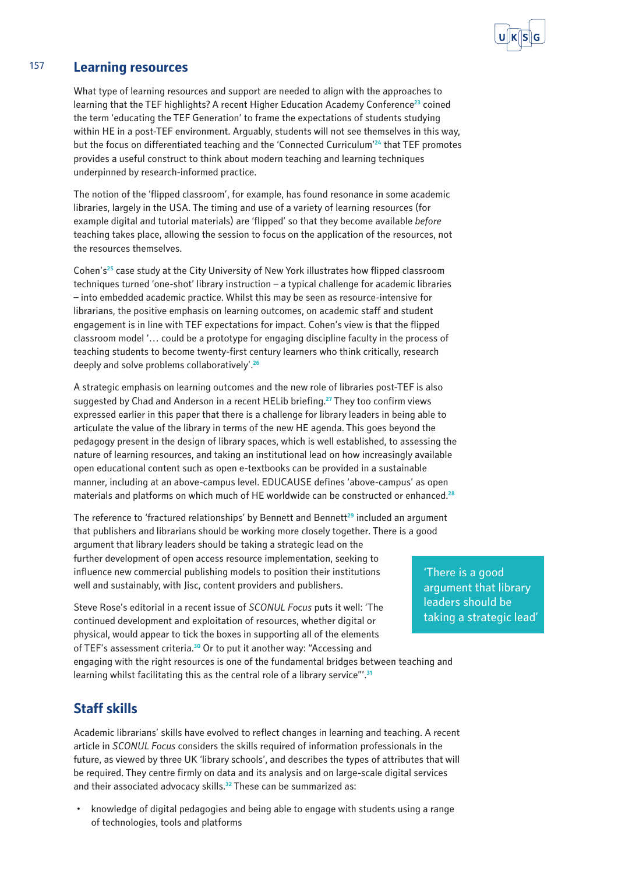

#### 157 **Learning resources**

What type of learning resources and support are needed to align with the approaches to learning that the TEF highlights? A recent Higher Education Academy Conference**<sup>23</sup>** coined the term 'educating the TEF Generation' to frame the expectations of students studying within HE in a post-TEF environment. Arguably, students will not see themselves in this way, but the focus on differentiated teaching and the 'Connected Curriculum'**<sup>24</sup>** that TEF promotes provides a useful construct to think about modern teaching and learning techniques underpinned by research-informed practice.

The notion of the 'flipped classroom', for example, has found resonance in some academic libraries, largely in the USA. The timing and use of a variety of learning resources (for example digital and tutorial materials) are 'flipped' so that they become available *before*  teaching takes place, allowing the session to focus on the application of the resources, not the resources themselves.

Cohen's**<sup>25</sup>** case study at the City University of New York illustrates how flipped classroom techniques turned 'one-shot' library instruction – a typical challenge for academic libraries – into embedded academic practice. Whilst this may be seen as resource-intensive for librarians, the positive emphasis on learning outcomes, on academic staff and student engagement is in line with TEF expectations for impact. Cohen's view is that the flipped classroom model '… could be a prototype for engaging discipline faculty in the process of teaching students to become twenty-first century learners who think critically, research deeply and solve problems collaboratively'.**<sup>26</sup>**

A strategic emphasis on learning outcomes and the new role of libraries post-TEF is also suggested by Chad and Anderson in a recent HELib briefing.**<sup>27</sup>** They too confirm views expressed earlier in this paper that there is a challenge for library leaders in being able to articulate the value of the library in terms of the new HE agenda. This goes beyond the pedagogy present in the design of library spaces, which is well established, to assessing the nature of learning resources, and taking an institutional lead on how increasingly available open educational content such as open e-textbooks can be provided in a sustainable manner, including at an above-campus level. EDUCAUSE defines 'above-campus' as open materials and platforms on which much of HE worldwide can be constructed or enhanced.**<sup>28</sup>**

The reference to 'fractured relationships' by Bennett and Bennett**<sup>29</sup>** included an argument that publishers and librarians should be working more closely together. There is a good argument that library leaders should be taking a strategic lead on the further development of open access resource implementation, seeking to influence new commercial publishing models to position their institutions well and sustainably, with Jisc, content providers and publishers.

Steve Rose's editorial in a recent issue of *SCONUL Focus* puts it well: 'The continued development and exploitation of resources, whether digital or physical, would appear to tick the boxes in supporting all of the elements of TEF's assessment criteria.**<sup>30</sup>** Or to put it another way: "Accessing and engaging with the right resources is one of the fundamental bridges between teaching and learning whilst facilitating this as the central role of a library service"'.**<sup>31</sup>**

'There is a good argument that library leaders should be taking a strategic lead'

**Staff skills**

Academic librarians' skills have evolved to reflect changes in learning and teaching. A recent article in *SCONUL Focus* considers the skills required of information professionals in the future, as viewed by three UK 'library schools', and describes the types of attributes that will be required. They centre firmly on data and its analysis and on large-scale digital services and their associated advocacy skills.**<sup>32</sup>** These can be summarized as:

· knowledge of digital pedagogies and being able to engage with students using a range of technologies, tools and platforms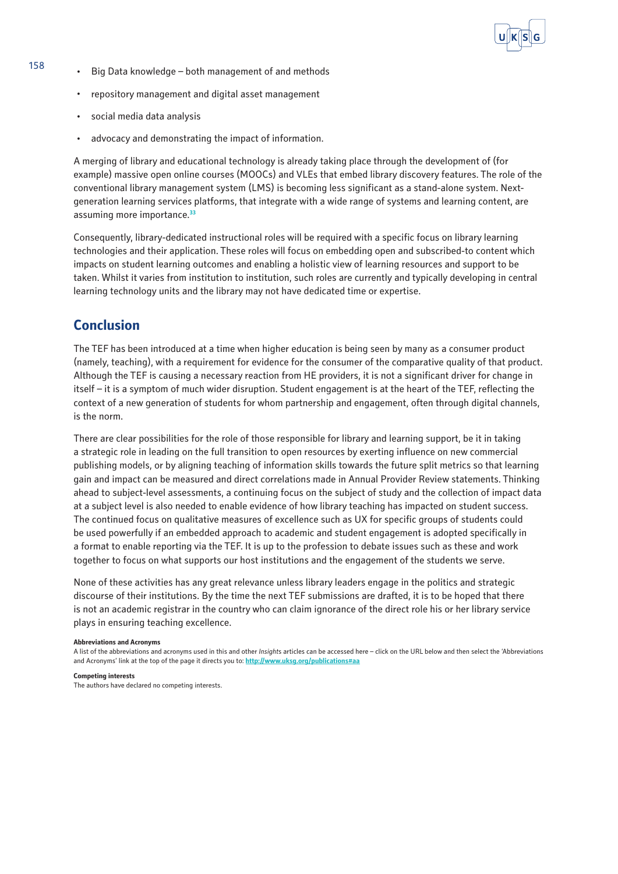

- 158 · Big Data knowledge both management of and methods
	- · repository management and digital asset management
	- · social media data analysis
	- advocacy and demonstrating the impact of information.

A merging of library and educational technology is already taking place through the development of (for example) massive open online courses (MOOCs) and VLEs that embed library discovery features. The role of the conventional library management system (LMS) is becoming less significant as a stand-alone system. Nextgeneration learning services platforms, that integrate with a wide range of systems and learning content, are assuming more importance.**<sup>33</sup>**

Consequently, library-dedicated instructional roles will be required with a specific focus on library learning technologies and their application. These roles will focus on embedding open and subscribed-to content which impacts on student learning outcomes and enabling a holistic view of learning resources and support to be taken. Whilst it varies from institution to institution, such roles are currently and typically developing in central learning technology units and the library may not have dedicated time or expertise.

## **Conclusion**

The TEF has been introduced at a time when higher education is being seen by many as a consumer product (namely, teaching), with a requirement for evidence for the consumer of the comparative quality of that product. Although the TEF is causing a necessary reaction from HE providers, it is not a significant driver for change in itself – it is a symptom of much wider disruption. Student engagement is at the heart of the TEF, reflecting the context of a new generation of students for whom partnership and engagement, often through digital channels, is the norm.

There are clear possibilities for the role of those responsible for library and learning support, be it in taking a strategic role in leading on the full transition to open resources by exerting influence on new commercial publishing models, or by aligning teaching of information skills towards the future split metrics so that learning gain and impact can be measured and direct correlations made in Annual Provider Review statements. Thinking ahead to subject-level assessments, a continuing focus on the subject of study and the collection of impact data at a subject level is also needed to enable evidence of how library teaching has impacted on student success. The continued focus on qualitative measures of excellence such as UX for specific groups of students could be used powerfully if an embedded approach to academic and student engagement is adopted specifically in a format to enable reporting via the TEF. It is up to the profession to debate issues such as these and work together to focus on what supports our host institutions and the engagement of the students we serve.

None of these activities has any great relevance unless library leaders engage in the politics and strategic discourse of their institutions. By the time the next TEF submissions are drafted, it is to be hoped that there is not an academic registrar in the country who can claim ignorance of the direct role his or her library service plays in ensuring teaching excellence.

#### **Abbreviations and Acronyms**

A list of the abbreviations and acronyms used in this and other *Insight*s articles can be accessed here – click on the URL below and then select the 'Abbreviations and Acronyms' link at the top of the page it directs you to: **<http://www.uksg.org/publications#aa>**

**Competing interests**

The authors have declared no competing interests.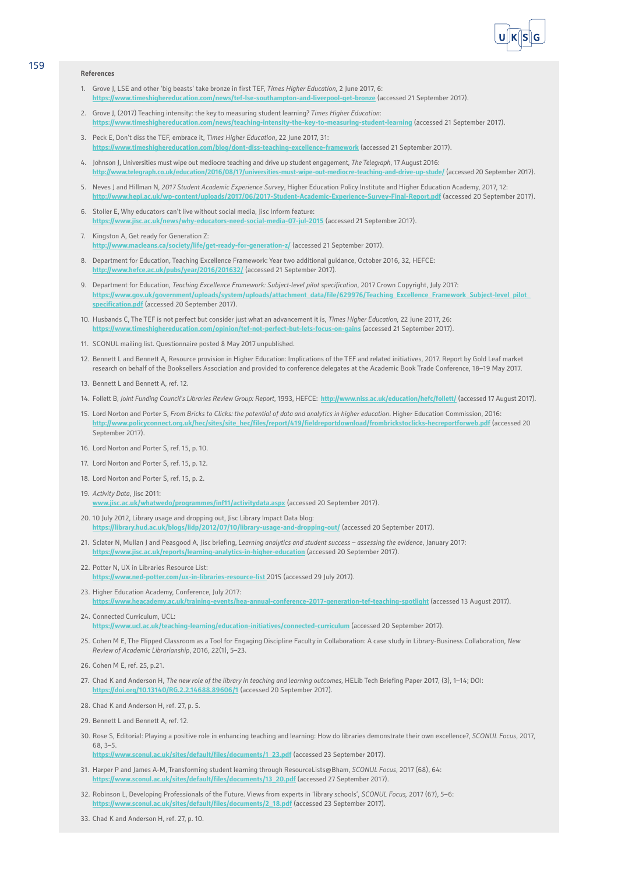

#### **References**

- 1. Grove J, LSE and other 'big beasts' take bronze in first TEF, *Times Higher Education,* 2 June 2017, 6: **<https://www.timeshighereducation.com/news/tef-lse-southampton-and-liverpool-get-bronze>** (accessed 21 September 2017).
- 2. Grove J, (2017) Teaching intensity: the key to measuring student learning? *Times Higher Education*: **<https://www.timeshighereducation.com/news/teaching-intensity-the-key-to-measuring-student-learning>** (accessed 21 September 2017).
- 3. Peck E, Don't diss the TEF, embrace it, *Times Higher Education*, 22 June 2017, 31: **<https://www.timeshighereducation.com/blog/dont-diss-teaching-excellence-framework>** (accessed 21 September 2017).
- 4. Johnson J, Universities must wipe out mediocre teaching and drive up student engagement, *The Telegraph*, 17 August 2016: **<http://www.telegraph.co.uk/education/2016/08/17/universities-must-wipe-out-mediocre-teaching-and-drive-up-stude/>** (accessed 20 September 2017).
- 5. Neves J and Hillman N, *2017 Student Academic Experience Survey*, Higher Education Policy Institute and Higher Education Academy, 2017, 12: **<http://www.hepi.ac.uk/wp-content/uploads/2017/06/2017-Student-Academic-Experience-Survey-Final-Report.pdf>** (accessed 20 September 2017).
- 6. Stoller E, Why educators can't live without social media, Jisc Inform feature: **<https://www.jisc.ac.uk/news/why-educators-need-social-media-07-jul-2015>** (accessed 21 September 2017).
- 7. Kingston A, Get ready for Generation Z: **<http://www.macleans.ca/society/life/get-ready-for-generation-z/>** (accessed 21 September 2017).
- 8. Department for Education, Teaching Excellence Framework: Year two additional guidance, October 2016, 32, HEFCE: **<http://www.hefce.ac.uk/pubs/year/2016/201632/>** (accessed 21 September 2017).
- 9. Department for Education, *Teaching Excellence Framework: Subject-level pilot specification*, 2017 Crown Copyright, July 2017: **[https://www.gov.uk/government/uploads/system/uploads/attachment\\_data/file/629976/Teaching\\_Excellence\\_Framework\\_Subject-level\\_pilot\\_](https://www.gov.uk/government/uploads/system/uploads/attachment_data/file/629976/Teaching_Excellence_Framework_Subject-level_pilot_specification.pdf) [specification.pdf](https://www.gov.uk/government/uploads/system/uploads/attachment_data/file/629976/Teaching_Excellence_Framework_Subject-level_pilot_specification.pdf)** (accessed 20 September 2017).
- 10. Husbands C, The TEF is not perfect but consider just what an advancement it is, *Times Higher Education,* 22 June 2017, 26: **<https://www.timeshighereducation.com/opinion/tef-not-perfect-but-lets-focus-on-gains>** (accessed 21 September 2017).
- 11. SCONUL mailing list. Questionnaire posted 8 May 2017 unpublished.
- 12. Bennett L and Bennett A, Resource provision in Higher Education: Implications of the TEF and related initiatives, 2017. Report by Gold Leaf market research on behalf of the Booksellers Association and provided to conference delegates at the Academic Book Trade Conference, 18–19 May 2017.
- 13. Bennett L and Bennett A, ref. 12.
- 14. Follett B, *Joint Funding Council's Libraries Review Group: Report*, 1993, HEFCE: **<http://www.niss.ac.uk/education/hefc/follett/>** (accessed 17 August 2017).
- 15. Lord Norton and Porter S, *From Bricks to Clicks: the potential of data and analytics in higher education*. Higher Education Commission, 2016: **[http://www.policyconnect.org.uk/hec/sites/site\\_hec/files/report/419/fieldreportdownload/frombrickstoclicks-hecreportforweb.pdf](http://www.policyconnect.org.uk/hec/sites/site_hec/files/report/419/fieldreportdownload/frombrickstoclicks-hecreportforweb.pdf)** (accessed 20 Sentember 2017).
- 16. Lord Norton and Porter S, ref. 15, p. 10.
- 17. Lord Norton and Porter S, ref. 15, p. 12.
- 18. Lord Norton and Porter S, ref. 15, p. 2.
- 19*. Activity Data*, Jisc 2011: **<www.jisc.ac.uk/whatwedo/programmes/inf11/activitydata.aspx>** (accessed 20 September 2017).
- 20. 10 July 2012, Library usage and dropping out, Jisc Library Impact Data blog: **<https://library.hud.ac.uk/blogs/lidp/2012/07/10/library-usage-and-dropping-out/>** (accessed 20 September 2017).
- 21. Sclater N, Mullan J and Peasgood A, Jisc briefing, *Learning analytics and student success assessing the evidence*, January 2017: **<https://www.jisc.ac.uk/reports/learning-analytics-in-higher-education>** (accessed 20 September 2017).
- 22. Potter N, UX in Libraries Resource List: **<https://www.ned-potter.com/ux-in-libraries-resource-list>** 2015 (accessed 29 July 2017).
- 23. Higher Education Academy, Conference, July 2017: **<https://www.heacademy.ac.uk/training-events/hea-annual-conference-2017-generation-tef-teaching-spotlight>** (accessed 13 August 2017).
- 24. Connected Curriculum, UCL: **<https://www.ucl.ac.uk/teaching-learning/education-initiatives/connected-curriculum>** (accessed 20 September 2017).
- 25. Cohen M E, The Flipped Classroom as a Tool for Engaging Discipline Faculty in Collaboration: A case study in Library-Business Collaboration, *New Review of Academic Librarianship*, 2016, 22(1), 5–23.
- 26. Cohen M E, ref. 25, p.21.
- 27. Chad K and Anderson H, *The new role of the library in teaching and learning outcomes,* HELib Tech Briefing Paper 2017, (3), 1–14; DOI: **<https://doi.org/10.13140/RG.2.2.14688.89606/1>** (accessed 20 September 2017).
- 28. Chad K and Anderson H, ref. 27, p. 5.
- 29. Bennett Land Bennett A, ref. 12
- 30. Rose S, Editorial: Playing a positive role in enhancing teaching and learning: How do libraries demonstrate their own excellence?, *SCONUL Focus*, 2017, 68, 3–5.

**[https://www.sconul.ac.uk/sites/default/files/documents/1\\_23.pdf](https://www.sconul.ac.uk/sites/default/files/documents/1_23.pdf)** (accessed 23 September 2017).

- 31. Harper P and James A-M, Transforming student learning through [ResourceLists@Bham,](https://bham.rl.talis.com/index.html) *SCONUL Focus*, 2017 (68), 64: **[https://www.sconul.ac.uk/sites/default/files/documents/13\\_20.pdf](https://www.sconul.ac.uk/sites/default/files/documents/13_20.pdf)** (accessed 27 September 2017).
- 32. Robinson L, Developing Professionals of the Future. Views from experts in 'library schools', *SCONUL Focus,* 2017 (67), 5–6: **uk/sites/default/files/documents/2\_18.pdf** (accessed 23 September 2017).
- 33. Chad K and Anderson H, ref. 27, p. 10.

159